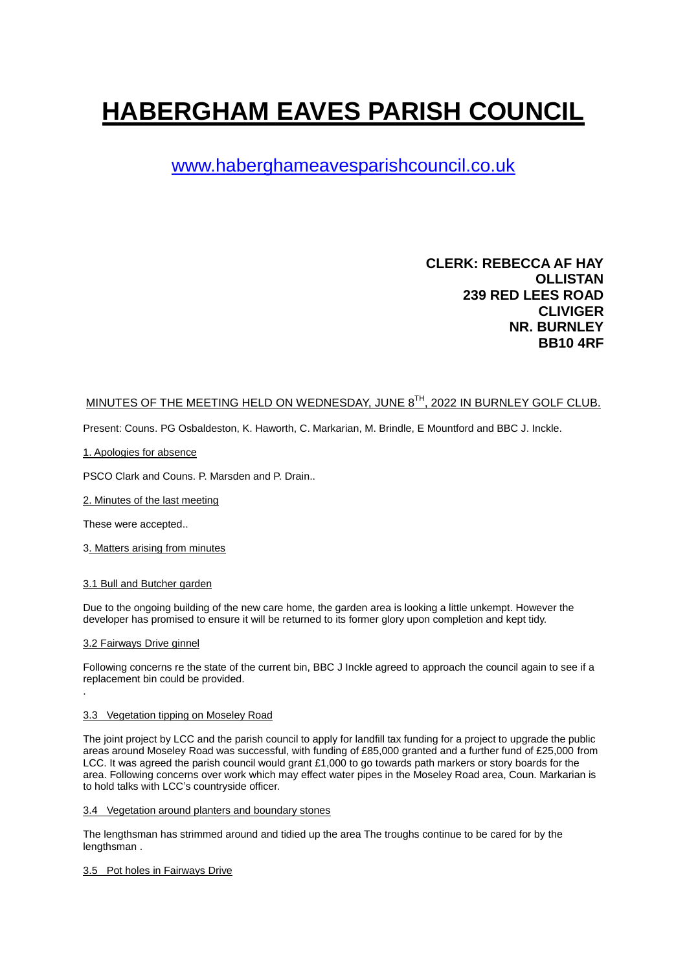# **HABERGHAM EAVES PARISH COUNCIL**

# [www.haberghameavesparishcouncil.co.uk](http://www.haberghameavesparishcouncil.co.uk/)

# **CLERK: REBECCA AF HAY OLLISTAN 239 RED LEES ROAD CLIVIGER NR. BURNLEY BB10 4RF**

## MINUTES OF THE MEETING HELD ON WEDNESDAY, JUNE 8<sup>TH</sup>, 2022 IN BURNLEY GOLF CLUB.

Present: Couns. PG Osbaldeston, K. Haworth, C. Markarian, M. Brindle, E Mountford and BBC J. Inckle.

#### 1. Apologies for absence

PSCO Clark and Couns. P. Marsden and P. Drain..

2. Minutes of the last meeting

These were accepted..

3. Matters arising from minutes

#### 3.1 Bull and Butcher garden

Due to the ongoing building of the new care home, the garden area is looking a little unkempt. However the developer has promised to ensure it will be returned to its former glory upon completion and kept tidy.

#### 3.2 Fairways Drive ginnel

.

Following concerns re the state of the current bin, BBC J Inckle agreed to approach the council again to see if a replacement bin could be provided.

#### 3.3 Vegetation tipping on Moseley Road

The joint project by LCC and the parish council to apply for landfill tax funding for a project to upgrade the public areas around Moseley Road was successful, with funding of £85,000 granted and a further fund of £25,000 from LCC. It was agreed the parish council would grant £1,000 to go towards path markers or story boards for the area. Following concerns over work which may effect water pipes in the Moseley Road area, Coun. Markarian is to hold talks with LCC's countryside officer.

#### 3.4 Vegetation around planters and boundary stones

The lengthsman has strimmed around and tidied up the area The troughs continue to be cared for by the lengthsman .

#### 3.5 Pot holes in Fairways Drive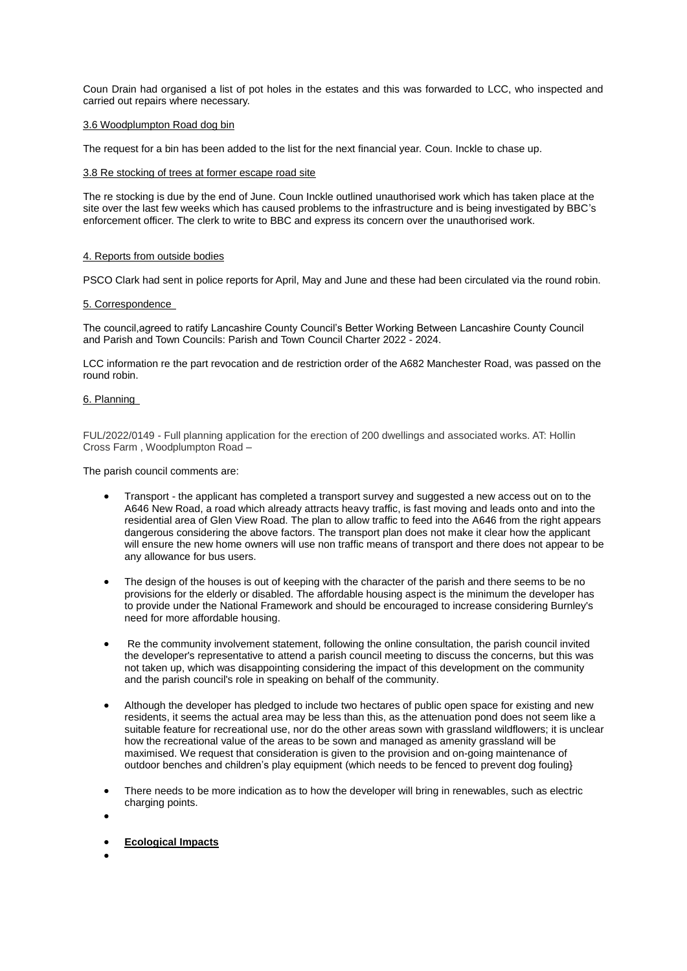Coun Drain had organised a list of pot holes in the estates and this was forwarded to LCC, who inspected and carried out repairs where necessary.

#### 3.6 Woodplumpton Road dog bin

The request for a bin has been added to the list for the next financial year. Coun. Inckle to chase up.

#### 3.8 Re stocking of trees at former escape road site

The re stocking is due by the end of June. Coun Inckle outlined unauthorised work which has taken place at the site over the last few weeks which has caused problems to the infrastructure and is being investigated by BBC's enforcement officer. The clerk to write to BBC and express its concern over the unauthorised work.

#### 4. Reports from outside bodies

PSCO Clark had sent in police reports for April, May and June and these had been circulated via the round robin.

#### 5. Correspondence

The council,agreed to ratify Lancashire County Council's Better Working Between Lancashire County Council and Parish and Town Councils: Parish and Town Council Charter 2022 - 2024.

LCC information re the part revocation and de restriction order of the A682 Manchester Road, was passed on the round robin.

#### 6. Planning

FUL/2022/0149 - Full planning application for the erection of 200 dwellings and associated works. AT: Hollin Cross Farm , Woodplumpton Road –

The parish council comments are:

- Transport the applicant has completed a transport survey and suggested a new access out on to the A646 New Road, a road which already attracts heavy traffic, is fast moving and leads onto and into the residential area of Glen View Road. The plan to allow traffic to feed into the A646 from the right appears dangerous considering the above factors. The transport plan does not make it clear how the applicant will ensure the new home owners will use non traffic means of transport and there does not appear to be any allowance for bus users.
- The design of the houses is out of keeping with the character of the parish and there seems to be no provisions for the elderly or disabled. The affordable housing aspect is the minimum the developer has to provide under the National Framework and should be encouraged to increase considering Burnley's need for more affordable housing.
- Re the community involvement statement, following the online consultation, the parish council invited the developer's representative to attend a parish council meeting to discuss the concerns, but this was not taken up, which was disappointing considering the impact of this development on the community and the parish council's role in speaking on behalf of the community.
- Although the developer has pledged to include two hectares of public open space for existing and new residents, it seems the actual area may be less than this, as the attenuation pond does not seem like a suitable feature for recreational use, nor do the other areas sown with grassland wildflowers; it is unclear how the recreational value of the areas to be sown and managed as amenity grassland will be maximised. We request that consideration is given to the provision and on-going maintenance of outdoor benches and children's play equipment (which needs to be fenced to prevent dog fouling}
- There needs to be more indication as to how the developer will bring in renewables, such as electric charging points.
- $\bullet$
- **Ecological Impacts**
- $\bullet$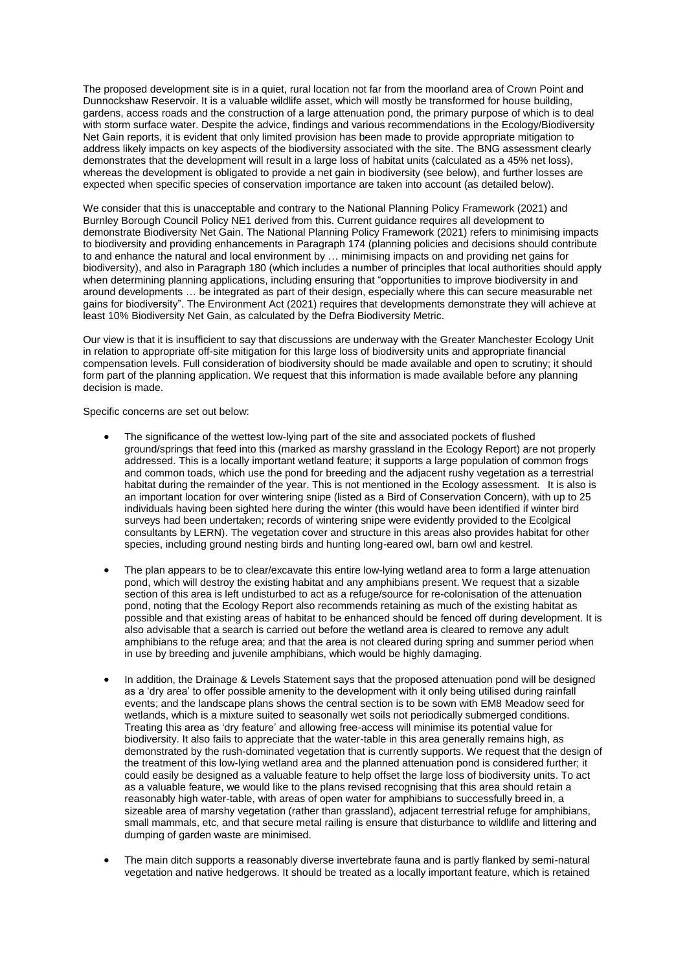The proposed development site is in a quiet, rural location not far from the moorland area of Crown Point and Dunnockshaw Reservoir. It is a valuable wildlife asset, which will mostly be transformed for house building, gardens, access roads and the construction of a large attenuation pond, the primary purpose of which is to deal with storm surface water. Despite the advice, findings and various recommendations in the Ecology/Biodiversity Net Gain reports, it is evident that only limited provision has been made to provide appropriate mitigation to address likely impacts on key aspects of the biodiversity associated with the site. The BNG assessment clearly demonstrates that the development will result in a large loss of habitat units (calculated as a 45% net loss), whereas the development is obligated to provide a net gain in biodiversity (see below), and further losses are expected when specific species of conservation importance are taken into account (as detailed below).

We consider that this is unacceptable and contrary to the National Planning Policy Framework (2021) and Burnley Borough Council Policy NE1 derived from this. Current guidance requires all development to demonstrate Biodiversity Net Gain. The National Planning Policy Framework (2021) refers to minimising impacts to biodiversity and providing enhancements in Paragraph 174 (planning policies and decisions should contribute to and enhance the natural and local environment by … minimising impacts on and providing net gains for biodiversity), and also in Paragraph 180 (which includes a number of principles that local authorities should apply when determining planning applications, including ensuring that "opportunities to improve biodiversity in and around developments … be integrated as part of their design, especially where this can secure measurable net gains for biodiversity". The Environment Act (2021) requires that developments demonstrate they will achieve at least 10% Biodiversity Net Gain, as calculated by the Defra Biodiversity Metric.

Our view is that it is insufficient to say that discussions are underway with the Greater Manchester Ecology Unit in relation to appropriate off-site mitigation for this large loss of biodiversity units and appropriate financial compensation levels. Full consideration of biodiversity should be made available and open to scrutiny; it should form part of the planning application. We request that this information is made available before any planning decision is made.

Specific concerns are set out below:

- The significance of the wettest low-lying part of the site and associated pockets of flushed ground/springs that feed into this (marked as marshy grassland in the Ecology Report) are not properly addressed. This is a locally important wetland feature; it supports a large population of common frogs and common toads, which use the pond for breeding and the adjacent rushy vegetation as a terrestrial habitat during the remainder of the year. This is not mentioned in the Ecology assessment. It is also is an important location for over wintering snipe (listed as a Bird of Conservation Concern), with up to 25 individuals having been sighted here during the winter (this would have been identified if winter bird surveys had been undertaken; records of wintering snipe were evidently provided to the Ecolgical consultants by LERN). The vegetation cover and structure in this areas also provides habitat for other species, including ground nesting birds and hunting long-eared owl, barn owl and kestrel.
- The plan appears to be to clear/excavate this entire low-lying wetland area to form a large attenuation pond, which will destroy the existing habitat and any amphibians present. We request that a sizable section of this area is left undisturbed to act as a refuge/source for re-colonisation of the attenuation pond, noting that the Ecology Report also recommends retaining as much of the existing habitat as possible and that existing areas of habitat to be enhanced should be fenced off during development. It is also advisable that a search is carried out before the wetland area is cleared to remove any adult amphibians to the refuge area; and that the area is not cleared during spring and summer period when in use by breeding and juvenile amphibians, which would be highly damaging.
- In addition, the Drainage & Levels Statement says that the proposed attenuation pond will be designed as a 'dry area' to offer possible amenity to the development with it only being utilised during rainfall events; and the landscape plans shows the central section is to be sown with EM8 Meadow seed for wetlands, which is a mixture suited to seasonally wet soils not periodically submerged conditions. Treating this area as 'dry feature' and allowing free-access will minimise its potential value for biodiversity. It also fails to appreciate that the water-table in this area generally remains high, as demonstrated by the rush-dominated vegetation that is currently supports. We request that the design of the treatment of this low-lying wetland area and the planned attenuation pond is considered further; it could easily be designed as a valuable feature to help offset the large loss of biodiversity units. To act as a valuable feature, we would like to the plans revised recognising that this area should retain a reasonably high water-table, with areas of open water for amphibians to successfully breed in, a sizeable area of marshy vegetation (rather than grassland), adjacent terrestrial refuge for amphibians, small mammals, etc, and that secure metal railing is ensure that disturbance to wildlife and littering and dumping of garden waste are minimised.
- The main ditch supports a reasonably diverse invertebrate fauna and is partly flanked by semi-natural vegetation and native hedgerows. It should be treated as a locally important feature, which is retained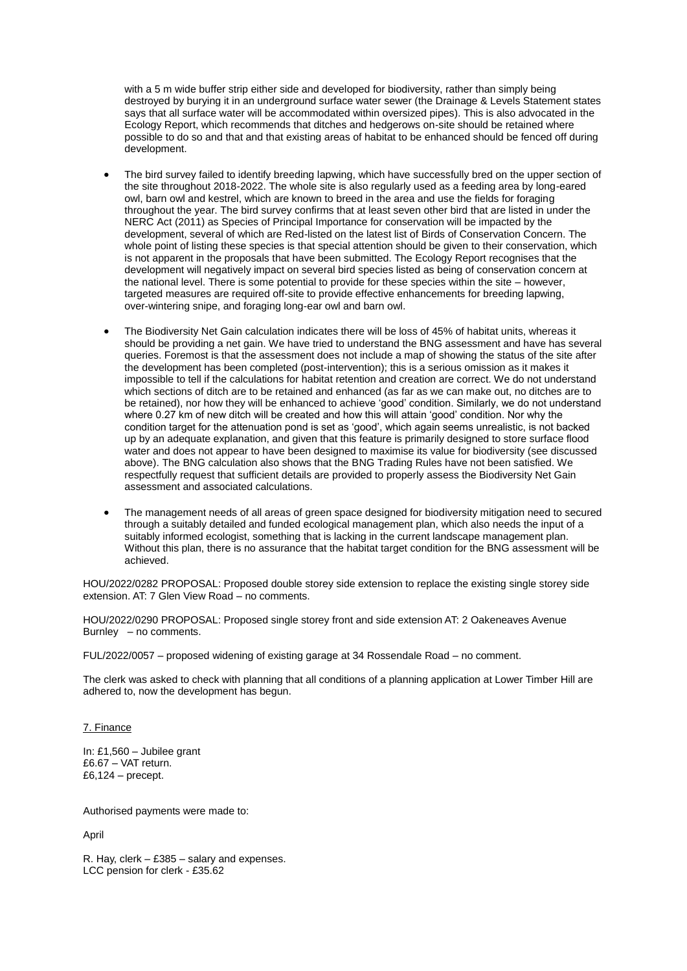with a 5 m wide buffer strip either side and developed for biodiversity, rather than simply being destroyed by burying it in an underground surface water sewer (the Drainage & Levels Statement states says that all surface water will be accommodated within oversized pipes). This is also advocated in the Ecology Report, which recommends that ditches and hedgerows on-site should be retained where possible to do so and that and that existing areas of habitat to be enhanced should be fenced off during development.

- The bird survey failed to identify breeding lapwing, which have successfully bred on the upper section of the site throughout 2018-2022. The whole site is also regularly used as a feeding area by long-eared owl, barn owl and kestrel, which are known to breed in the area and use the fields for foraging throughout the year. The bird survey confirms that at least seven other bird that are listed in under the NERC Act (2011) as Species of Principal Importance for conservation will be impacted by the development, several of which are Red-listed on the latest list of Birds of Conservation Concern. The whole point of listing these species is that special attention should be given to their conservation, which is not apparent in the proposals that have been submitted. The Ecology Report recognises that the development will negatively impact on several bird species listed as being of conservation concern at the national level. There is some potential to provide for these species within the site – however, targeted measures are required off-site to provide effective enhancements for breeding lapwing, over-wintering snipe, and foraging long-ear owl and barn owl.
- The Biodiversity Net Gain calculation indicates there will be loss of 45% of habitat units, whereas it should be providing a net gain. We have tried to understand the BNG assessment and have has several queries. Foremost is that the assessment does not include a map of showing the status of the site after the development has been completed (post-intervention); this is a serious omission as it makes it impossible to tell if the calculations for habitat retention and creation are correct. We do not understand which sections of ditch are to be retained and enhanced (as far as we can make out, no ditches are to be retained), nor how they will be enhanced to achieve 'good' condition. Similarly, we do not understand where 0.27 km of new ditch will be created and how this will attain 'good' condition. Nor why the condition target for the attenuation pond is set as 'good', which again seems unrealistic, is not backed up by an adequate explanation, and given that this feature is primarily designed to store surface flood water and does not appear to have been designed to maximise its value for biodiversity (see discussed above). The BNG calculation also shows that the BNG Trading Rules have not been satisfied. We respectfully request that sufficient details are provided to properly assess the Biodiversity Net Gain assessment and associated calculations.
- The management needs of all areas of green space designed for biodiversity mitigation need to secured through a suitably detailed and funded ecological management plan, which also needs the input of a suitably informed ecologist, something that is lacking in the current landscape management plan. Without this plan, there is no assurance that the habitat target condition for the BNG assessment will be achieved.

HOU/2022/0282 PROPOSAL: Proposed double storey side extension to replace the existing single storey side extension. AT: 7 Glen View Road – no comments.

HOU/2022/0290 PROPOSAL: Proposed single storey front and side extension AT: 2 Oakeneaves Avenue Burnley – no comments.

FUL/2022/0057 – proposed widening of existing garage at 34 Rossendale Road – no comment.

The clerk was asked to check with planning that all conditions of a planning application at Lower Timber Hill are adhered to, now the development has begun.

7. Finance

In: £1,560 – Jubilee grant £6.67 – VAT return. £6,124 – precept.

Authorised payments were made to:

April

R. Hay, clerk – £385 – salary and expenses. LCC pension for clerk - £35.62